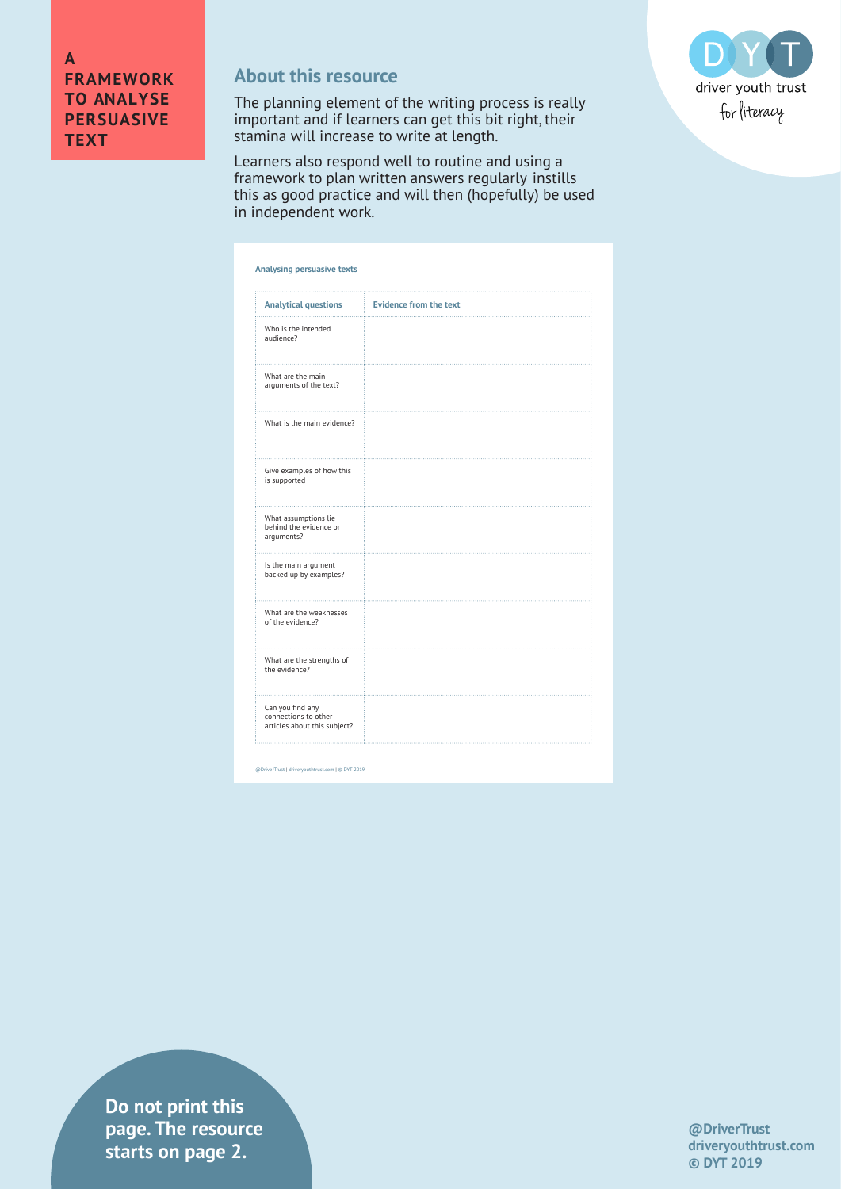## **About this resource**

The planning element of the writing process is really important and if learners can get this bit right, their stamina will increase to write at length.





@DriverTrust | driveryouthtrust.com | © DYT 2019

**Do not print this page. The resource starts on page 2.**

**@DriverTrust driveryouthtrust.com © DYT 2019**